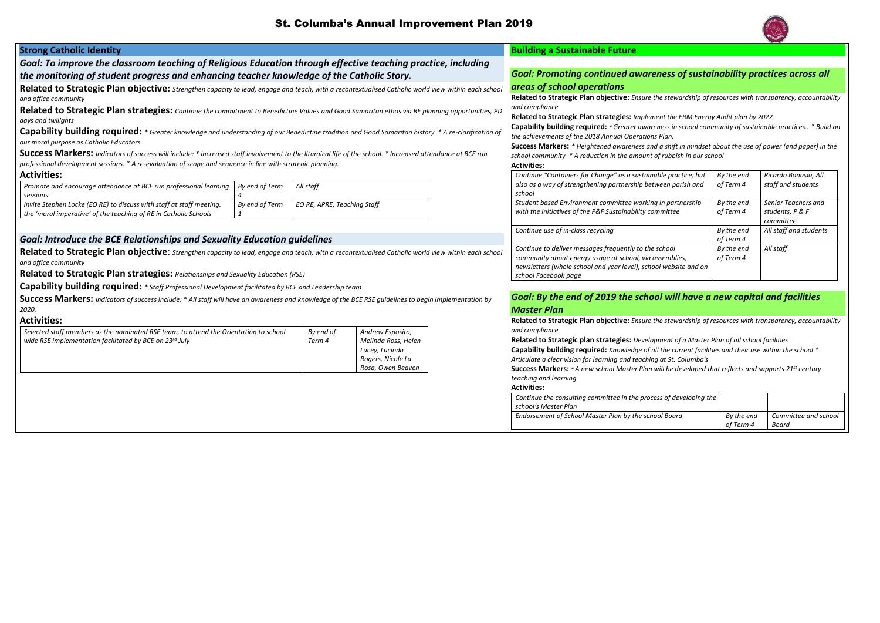# St. Columba's Annual Improvement Plan 2019

| <b>Strong Catholic Identity</b>                                                                                                                              |                |                             |                                        |                                                                                  | <b>Building a Sustainable Future</b>                                                                                                                                                                                                                               |                                                                       |                      |  |
|--------------------------------------------------------------------------------------------------------------------------------------------------------------|----------------|-----------------------------|----------------------------------------|----------------------------------------------------------------------------------|--------------------------------------------------------------------------------------------------------------------------------------------------------------------------------------------------------------------------------------------------------------------|-----------------------------------------------------------------------|----------------------|--|
| Goal: To improve the classroom teaching of Religious Education through effective teaching practice, including                                                |                |                             |                                        |                                                                                  |                                                                                                                                                                                                                                                                    |                                                                       |                      |  |
| the monitoring of student progress and enhancing teacher knowledge of the Catholic Story.                                                                    |                |                             |                                        | <b>Goal: Promoting continued awareness of sustainability practices across or</b> |                                                                                                                                                                                                                                                                    |                                                                       |                      |  |
| Related to Strategic Plan objective: Strengthen capacity to lead, engage and teach, with a recontextualised Catholic world view within each school           |                |                             |                                        |                                                                                  | areas of school operations                                                                                                                                                                                                                                         |                                                                       |                      |  |
| and office community                                                                                                                                         |                |                             |                                        |                                                                                  | Related to Strategic Plan objective: Ensure the stewardship of resources with transparency, account                                                                                                                                                                |                                                                       |                      |  |
| Related to Strategic Plan strategies: Continue the commitment to Benedictine Values and Good Samaritan ethos via RE planning opportunities, PD               |                |                             |                                        |                                                                                  | and compliance<br>Related to Strategic Plan strategies: Implement the ERM Energy Audit plan by 2022<br>Capability building required: * Greater awareness in school community of sustainable practices * Bu<br>the achievements of the 2018 Annual Operations Plan. |                                                                       |                      |  |
| days and twilights                                                                                                                                           |                |                             |                                        |                                                                                  |                                                                                                                                                                                                                                                                    |                                                                       |                      |  |
| Capability building required: * Greater knowledge and understanding of our Benedictine tradition and Good Samaritan history. * A re-clarification of         |                |                             |                                        |                                                                                  |                                                                                                                                                                                                                                                                    |                                                                       |                      |  |
| our moral purpose as Catholic Educators                                                                                                                      |                |                             |                                        |                                                                                  |                                                                                                                                                                                                                                                                    |                                                                       |                      |  |
| Success Markers: Indicators of success will include: * increased staff involvement to the liturgical life of the school. * Increased attendance at BCE run   |                |                             |                                        |                                                                                  | Success Markers: * Heightened awareness and a shift in mindset about the use of power (and paper) i                                                                                                                                                                |                                                                       |                      |  |
| professional development sessions. * A re-evaluation of scope and sequence in line with strategic planning.                                                  |                |                             |                                        |                                                                                  | <b>Activities:</b>                                                                                                                                                                                                                                                 | school community * A reduction in the amount of rubbish in our school |                      |  |
| <b>Activities:</b>                                                                                                                                           |                |                             |                                        |                                                                                  | Continue "Containers for Change" as a sustainable practice, but                                                                                                                                                                                                    | By the end                                                            | Ricardo Bonasia, Al  |  |
| Promote and encourage attendance at BCE run professional learning                                                                                            | By end of Term | All staff                   |                                        |                                                                                  | also as a way of strengthening partnership between parish and                                                                                                                                                                                                      | of Term 4                                                             | staff and students   |  |
| sessions                                                                                                                                                     |                |                             |                                        |                                                                                  | school                                                                                                                                                                                                                                                             |                                                                       |                      |  |
| Invite Stephen Locke (EO RE) to discuss with staff at staff meeting,                                                                                         | By end of Term | EO RE, APRE, Teaching Staff |                                        |                                                                                  | Student based Environment committee working in partnership                                                                                                                                                                                                         | By the end                                                            | Senior Teachers and  |  |
| the 'moral imperative' of the teaching of RE in Catholic Schools                                                                                             |                |                             |                                        |                                                                                  | with the initiatives of the P&F Sustainability committee                                                                                                                                                                                                           | of Term 4                                                             | students, P & F      |  |
|                                                                                                                                                              |                |                             |                                        |                                                                                  |                                                                                                                                                                                                                                                                    |                                                                       | committee            |  |
| <b>Goal: Introduce the BCE Relationships and Sexuality Education guidelines</b>                                                                              |                |                             |                                        |                                                                                  | Continue use of in-class recycling                                                                                                                                                                                                                                 | By the end<br>of Term 4                                               | All staff and studen |  |
|                                                                                                                                                              |                |                             |                                        |                                                                                  | Continue to deliver messages frequently to the school                                                                                                                                                                                                              | By the end                                                            | All staff            |  |
| Related to Strategic Plan objective: Strengthen capacity to lead, engage and teach, with a recontextualised Catholic world view within each school           |                |                             |                                        |                                                                                  | community about energy usage at school, via assemblies,                                                                                                                                                                                                            | of Term 4                                                             |                      |  |
| and office community                                                                                                                                         |                |                             |                                        | newsletters (whole school and year level), school website and on                 |                                                                                                                                                                                                                                                                    |                                                                       |                      |  |
| Related to Strategic Plan strategies: Relationships and Sexuality Education (RSE)                                                                            |                |                             |                                        |                                                                                  | school Facebook page                                                                                                                                                                                                                                               |                                                                       |                      |  |
| Capability building required: * Staff Professional Development facilitated by BCE and Leadership team                                                        |                |                             |                                        |                                                                                  |                                                                                                                                                                                                                                                                    |                                                                       |                      |  |
| <b>Success Markers:</b> Indicators of success include: * All staff will have an awareness and knowledge of the BCE RSE guidelines to begin implementation by |                |                             |                                        |                                                                                  | Goal: By the end of 2019 the school will have a new capital and facilities                                                                                                                                                                                         |                                                                       |                      |  |
| 2020.                                                                                                                                                        |                |                             |                                        |                                                                                  | <b>Master Plan</b>                                                                                                                                                                                                                                                 |                                                                       |                      |  |
| <b>Activities:</b>                                                                                                                                           |                |                             |                                        |                                                                                  | Related to Strategic Plan objective: Ensure the stewardship of resources with transparency, account                                                                                                                                                                |                                                                       |                      |  |
| Selected staff members as the nominated RSE team, to attend the Orientation to school                                                                        |                | By end of                   | Andrew Esposito,                       |                                                                                  | and compliance                                                                                                                                                                                                                                                     |                                                                       |                      |  |
| wide RSE implementation facilitated by BCE on 23rd July                                                                                                      |                | Term 4                      | Melinda Ross, Helen                    |                                                                                  | Related to Strategic plan strategies: Development of a Master Plan of all school facilities                                                                                                                                                                        |                                                                       |                      |  |
|                                                                                                                                                              |                |                             | Lucey, Lucinda                         |                                                                                  | Capability building required: Knowledge of all the current facilities and their use within the school *                                                                                                                                                            |                                                                       |                      |  |
|                                                                                                                                                              |                |                             | Rogers, Nicole La<br>Rosa, Owen Beaven |                                                                                  | Articulate a clear vision for learning and teaching at St. Columba's                                                                                                                                                                                               |                                                                       |                      |  |
|                                                                                                                                                              |                |                             |                                        |                                                                                  | Success Markers: * A new school Master Plan will be developed that reflects and supports 21 <sup>st</sup> century<br>teaching and learning                                                                                                                         |                                                                       |                      |  |
|                                                                                                                                                              |                |                             |                                        |                                                                                  | <b>Activities:</b>                                                                                                                                                                                                                                                 |                                                                       |                      |  |
|                                                                                                                                                              |                |                             |                                        |                                                                                  | Continue the consulting committee in the process of developing the                                                                                                                                                                                                 |                                                                       |                      |  |
|                                                                                                                                                              |                |                             |                                        |                                                                                  | school's Master Plan                                                                                                                                                                                                                                               |                                                                       |                      |  |
|                                                                                                                                                              |                |                             |                                        |                                                                                  | Endorsement of School Master Plan by the school Board                                                                                                                                                                                                              | By the end                                                            | Committee and s      |  |
|                                                                                                                                                              |                |                             |                                        |                                                                                  |                                                                                                                                                                                                                                                                    | of Term 4                                                             | Board                |  |



# *Goal: Promoting continued awareness of sustainability practices across all*

**Related to Strategic Plan objective:** *Ensure the stewardship of resources with transparency, accountability* 

**Capability building required:** *\* Greater awareness in school community of sustainable practices.. \* Build on* 

**Success Markers:** *\* Heightened awareness and a shift in mindset about the use of power (and paper) in the school community \* A reduction in the amount of rubbish in our school*

| e practice, but<br>en parish and  | By the end<br>of Term 4 | Ricardo Bonasia, All<br>staff and students          |
|-----------------------------------|-------------------------|-----------------------------------------------------|
| partnership<br>iittee             | By the end<br>of Term 4 | Senior Teachers and<br>students, P & F<br>committee |
|                                   | By the end<br>of Term 4 | All staff and students                              |
| ıool<br>mblies,<br>vebsite and on | By the end<br>of Term 4 | All staff                                           |

# *Goal: By the end of 2019 the school will have a new capital and facilities*

**Related to Strategic Plan objective:** *Ensure the stewardship of resources with transparency, accountability* 

- **Capability building required:** *Knowledge of all the current facilities and their use within the school \* Articulate a clear vision for learning and teaching at St. Columba's*
- 

| of developing the |                         |                               |
|-------------------|-------------------------|-------------------------------|
| Board             | By the end<br>of Term 4 | Committee and school<br>Board |